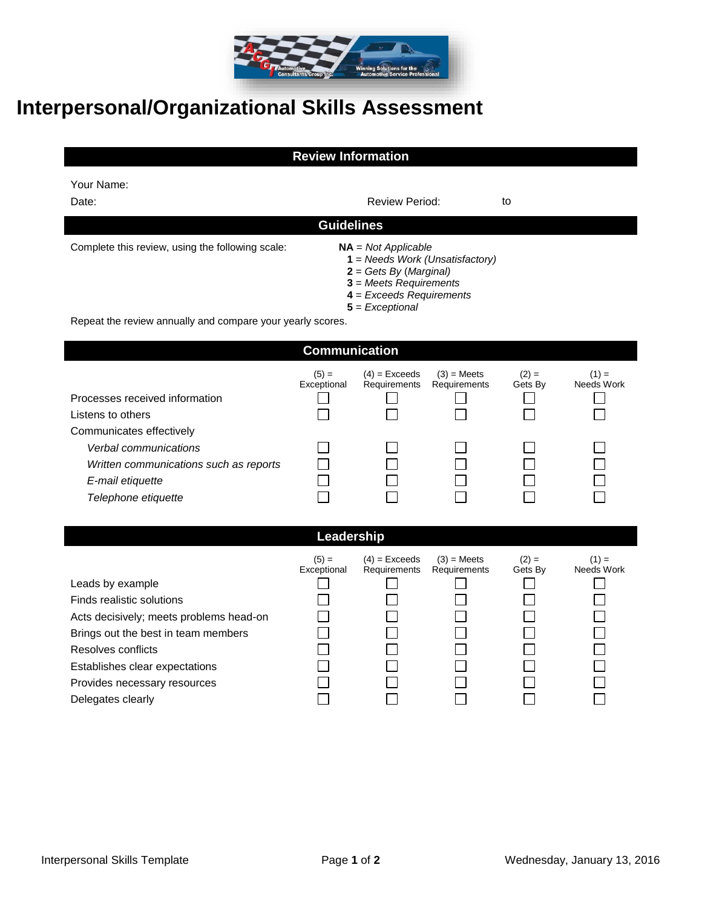

## **Interpersonal/Organizational Skills Assessment**

## **Review Information**

| Your Name: |
|------------|
|            |

| Date:                                                      | <b>Review Period:</b>                                                                                                                                                 | to |  |  |  |
|------------------------------------------------------------|-----------------------------------------------------------------------------------------------------------------------------------------------------------------------|----|--|--|--|
| <b>Guidelines</b>                                          |                                                                                                                                                                       |    |  |  |  |
| Complete this review, using the following scale:           | $NA = Not Applicable$<br>$1 =$ Needs Work (Unsatisfactory)<br>$2 = Gets By (Marginal)$<br>$3$ = Meets Requirements<br>$4$ = Exceeds Requirements<br>$5$ = Exceptional |    |  |  |  |
| Repeat the review annually and compare your yearly scores. |                                                                                                                                                                       |    |  |  |  |
| <b>Communication</b>                                       |                                                                                                                                                                       |    |  |  |  |

| Processes received information<br>Listens to others | $(5) =$<br>Exceptional | $(4)$ = Exceeds<br>Requirements | $(3)$ = Meets<br>Requirements | $(2) =$<br>Gets By | $(1) =$<br>Needs Work |
|-----------------------------------------------------|------------------------|---------------------------------|-------------------------------|--------------------|-----------------------|
| Communicates effectively                            |                        |                                 |                               |                    |                       |
| Verbal communications                               |                        |                                 |                               |                    |                       |
| Written communications such as reports              |                        |                                 |                               |                    |                       |
| E-mail etiquette                                    |                        |                                 |                               |                    |                       |
| Telephone etiquette                                 |                        |                                 |                               |                    |                       |

## **Leadership**

|                                         | $(5) =$<br>Exceptional | $(4)$ = Exceeds<br>Requirements | $(3)$ = Meets<br>Requirements | $(2) =$<br>Gets By | $(1) =$<br>Needs Work |
|-----------------------------------------|------------------------|---------------------------------|-------------------------------|--------------------|-----------------------|
| Leads by example                        |                        |                                 |                               |                    |                       |
| Finds realistic solutions               |                        |                                 |                               |                    |                       |
| Acts decisively; meets problems head-on |                        |                                 |                               |                    |                       |
| Brings out the best in team members     |                        |                                 |                               |                    |                       |
| Resolves conflicts                      |                        |                                 |                               |                    |                       |
| Establishes clear expectations          |                        |                                 |                               |                    |                       |
| Provides necessary resources            |                        |                                 |                               |                    |                       |
| Delegates clearly                       |                        |                                 |                               |                    |                       |